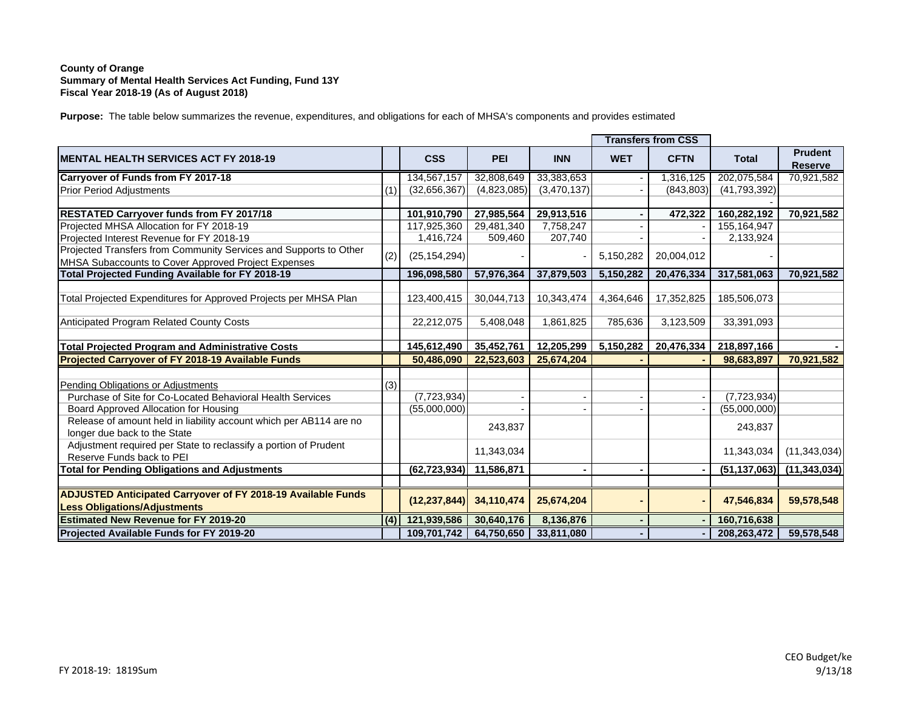## **County of Orange Summary of Mental Health Services Act Funding, Fund 13Y Fiscal Year 2018-19 (As of August 2018)**

**Purpose:** The table below summarizes the revenue, expenditures, and obligations for each of MHSA's components and provides estimated

|                                                                                                            |     |                |             |             |            | <b>Transfers from CSS</b> |                |                                  |
|------------------------------------------------------------------------------------------------------------|-----|----------------|-------------|-------------|------------|---------------------------|----------------|----------------------------------|
| <b>IMENTAL HEALTH SERVICES ACT FY 2018-19</b>                                                              |     | <b>CSS</b>     | <b>PEI</b>  | <b>INN</b>  | <b>WET</b> | <b>CFTN</b>               | <b>Total</b>   | <b>Prudent</b><br><b>Reserve</b> |
| Carryover of Funds from FY 2017-18                                                                         |     | 134,567,157    | 32,808,649  | 33,383,653  |            | 1,316,125                 | 202,075,584    | 70,921,582                       |
| <b>Prior Period Adjustments</b>                                                                            | (1) | (32,656,367)   | (4,823,085) | (3,470,137) |            | (843, 803)                | (41,793,392)   |                                  |
|                                                                                                            |     |                |             |             |            |                           |                |                                  |
| <b>RESTATED Carryover funds from FY 2017/18</b>                                                            |     | 101,910,790    | 27,985,564  | 29,913,516  |            | 472,322                   | 160,282,192    | 70,921,582                       |
| Projected MHSA Allocation for FY 2018-19                                                                   |     | 117,925,360    | 29,481,340  | 7,758,247   |            |                           | 155, 164, 947  |                                  |
| Projected Interest Revenue for FY 2018-19                                                                  |     | 1,416,724      | 509,460     | 207,740     |            |                           | 2,133,924      |                                  |
| Projected Transfers from Community Services and Supports to Other                                          | (2) | (25, 154, 294) |             |             | 5,150,282  | 20,004,012                |                |                                  |
| MHSA Subaccounts to Cover Approved Project Expenses                                                        |     |                |             |             |            |                           |                |                                  |
| Total Projected Funding Available for FY 2018-19                                                           |     | 196,098,580    | 57,976,364  | 37,879,503  | 5,150,282  | 20,476,334                | 317,581,063    | 70,921,582                       |
| Total Projected Expenditures for Approved Projects per MHSA Plan                                           |     | 123,400,415    | 30,044,713  | 10,343,474  | 4,364,646  | 17,352,825                | 185,506,073    |                                  |
| Anticipated Program Related County Costs                                                                   |     | 22,212,075     | 5,408,048   | 1,861,825   | 785,636    | 3,123,509                 | 33,391,093     |                                  |
| <b>Total Projected Program and Administrative Costs</b>                                                    |     | 145,612,490    | 35,452,761  | 12,205,299  | 5,150,282  | 20,476,334                | 218,897,166    |                                  |
| Projected Carryover of FY 2018-19 Available Funds                                                          |     | 50,486,090     | 22,523,603  | 25,674,204  |            |                           | 98,683,897     | 70,921,582                       |
| Pending Obligations or Adjustments                                                                         | (3) |                |             |             |            |                           |                |                                  |
| Purchase of Site for Co-Located Behavioral Health Services                                                 |     | (7, 723, 934)  |             |             |            |                           | (7, 723, 934)  |                                  |
| Board Approved Allocation for Housing                                                                      |     | (55,000,000)   |             |             |            |                           | (55,000,000)   |                                  |
| Release of amount held in liability account which per AB114 are no<br>longer due back to the State         |     |                | 243,837     |             |            |                           | 243,837        |                                  |
| Adjustment required per State to reclassify a portion of Prudent<br>Reserve Funds back to PEI              |     |                | 11,343,034  |             |            |                           | 11,343,034     | (11, 343, 034)                   |
| <b>Total for Pending Obligations and Adjustments</b>                                                       |     | (62, 723, 934) | 11,586,871  |             |            |                           | (51, 137, 063) | (11, 343, 034)                   |
| <b>ADJUSTED Anticipated Carryover of FY 2018-19 Available Funds</b><br><b>Less Obligations/Adjustments</b> |     | (12, 237, 844) | 34,110,474  | 25,674,204  |            |                           | 47,546,834     | 59,578,548                       |
| <b>Estimated New Revenue for FY 2019-20</b>                                                                | (4) | 121,939,586    | 30,640,176  | 8,136,876   |            |                           | 160,716,638    |                                  |
| Projected Available Funds for FY 2019-20                                                                   |     | 109,701,742    | 64,750,650  | 33,811,080  |            |                           | 208,263,472    | 59,578,548                       |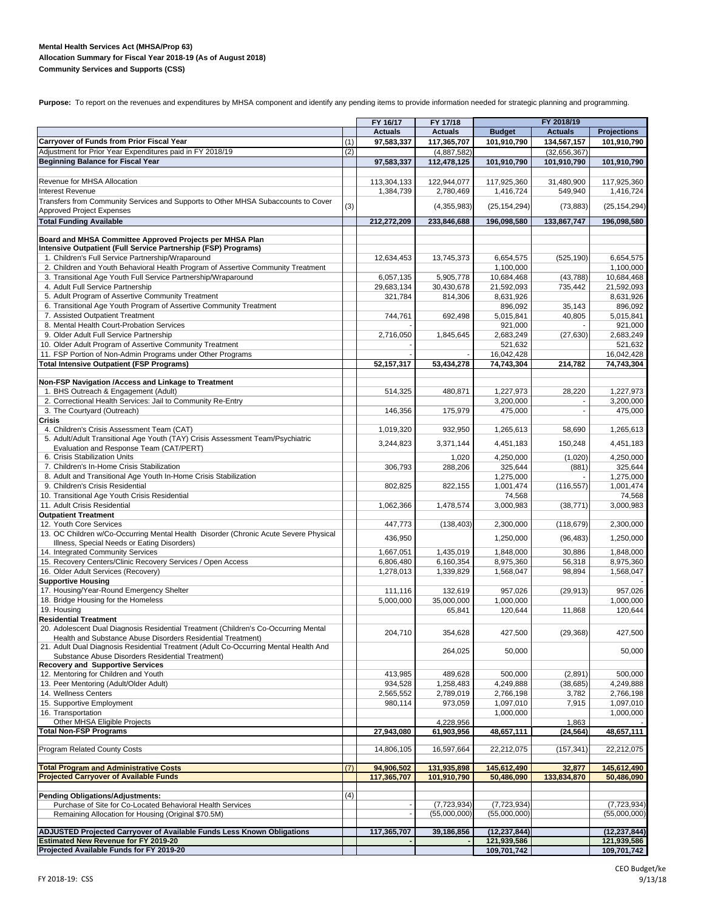#### **Mental Health Services Act (MHSA/Prop 63) Allocation Summary for Fiscal Year 2018-19 (As of August 2018) Community Services and Supports (CSS)**

Purpose: To report on the revenues and expenditures by MHSA component and identify any pending items to provide information needed for strategic planning and programming.

|                                                                                                                                       |     | FY 16/17<br>FY 17/18 |                |                            | FY 2018/19     |                            |  |  |
|---------------------------------------------------------------------------------------------------------------------------------------|-----|----------------------|----------------|----------------------------|----------------|----------------------------|--|--|
|                                                                                                                                       |     | <b>Actuals</b>       | <b>Actuals</b> | <b>Budget</b>              | <b>Actuals</b> | <b>Projections</b>         |  |  |
| <b>Carryover of Funds from Prior Fiscal Year</b>                                                                                      | (1) | 97,583,337           | 117,365,707    | 101,910,790                | 134,567,157    | 101,910,790                |  |  |
| Adjustment for Prior Year Expenditures paid in FY 2018/19                                                                             | (2) |                      | (4,887,582)    |                            | (32,656,367)   |                            |  |  |
| <b>Beginning Balance for Fiscal Year</b>                                                                                              |     | 97,583,337           | 112,478,125    | 101,910,790                | 101,910,790    | 101,910,790                |  |  |
| Revenue for MHSA Allocation                                                                                                           |     | 113,304,133          | 122,944,077    | 117,925,360                | 31,480,900     | 117,925,360                |  |  |
| <b>Interest Revenue</b>                                                                                                               |     | 1,384,739            | 2,780,469      | 1,416,724                  | 549,940        | 1,416,724                  |  |  |
| Transfers from Community Services and Supports to Other MHSA Subaccounts to Cover<br><b>Approved Project Expenses</b>                 | (3) |                      | (4,355,983)    | (25, 154, 294)             | (73, 883)      | (25, 154, 294)             |  |  |
| <b>Total Funding Available</b>                                                                                                        |     | 212,272,209          | 233,846,688    | 196,098,580                | 133,867,747    | 196,098,580                |  |  |
|                                                                                                                                       |     |                      |                |                            |                |                            |  |  |
| Board and MHSA Committee Approved Projects per MHSA Plan                                                                              |     |                      |                |                            |                |                            |  |  |
| Intensive Outpatient (Full Service Partnership (FSP) Programs)                                                                        |     |                      |                |                            |                |                            |  |  |
| 1. Children's Full Service Partnership/Wraparound<br>2. Children and Youth Behavioral Health Program of Assertive Community Treatment |     | 12,634,453           | 13,745,373     | 6,654,575<br>1,100,000     | (525, 190)     | 6,654,575<br>1,100,000     |  |  |
| 3. Transitional Age Youth Full Service Partnership/Wraparound                                                                         |     | 6,057,135            | 5,905,778      | 10,684,468                 | (43,788)       | 10,684,468                 |  |  |
| 4. Adult Full Service Partnership                                                                                                     |     | 29,683,134           | 30,430,678     | 21,592,093                 | 735,442        | 21,592,093                 |  |  |
| 5. Adult Program of Assertive Community Treatment                                                                                     |     | 321,784              | 814,306        | 8,631,926                  |                | 8,631,926                  |  |  |
| 6. Transitional Age Youth Program of Assertive Community Treatment                                                                    |     |                      |                | 896,092                    | 35,143         | 896,092                    |  |  |
| 7. Assisted Outpatient Treatment                                                                                                      |     | 744,761              | 692,498        | 5,015,841                  | 40,805         | 5,015,841                  |  |  |
| 8. Mental Health Court-Probation Services                                                                                             |     |                      |                | 921,000                    |                | 921,000                    |  |  |
| 9. Older Adult Full Service Partnership                                                                                               |     | 2,716,050            | 1,845,645      | 2,683,249                  | (27, 630)      | 2,683,249                  |  |  |
| 10. Older Adult Program of Assertive Community Treatment                                                                              |     |                      |                | 521,632                    |                | 521,632                    |  |  |
| 11. FSP Portion of Non-Admin Programs under Other Programs                                                                            |     |                      |                | 16,042,428                 |                | 16,042,428                 |  |  |
| <b>Total Intensive Outpatient (FSP Programs)</b>                                                                                      |     | 52, 157, 317         | 53,434,278     | 74,743,304                 | 214,782        | 74,743,304                 |  |  |
|                                                                                                                                       |     |                      |                |                            |                |                            |  |  |
| Non-FSP Navigation /Access and Linkage to Treatment                                                                                   |     |                      |                |                            |                |                            |  |  |
| 1. BHS Outreach & Engagement (Adult)                                                                                                  |     | 514,325              | 480,871        | 1,227,973                  | 28,220         | 1,227,973                  |  |  |
| 2. Correctional Health Services: Jail to Community Re-Entry                                                                           |     |                      |                | 3,200,000                  |                | 3,200,000                  |  |  |
| 3. The Courtyard (Outreach)                                                                                                           |     | 146,356              | 175,979        | 475,000                    |                | 475,000                    |  |  |
| Crisis                                                                                                                                |     |                      |                |                            |                |                            |  |  |
| 4. Children's Crisis Assessment Team (CAT)                                                                                            |     | 1,019,320            | 932,950        | 1,265,613                  | 58,690         | 1,265,613                  |  |  |
| 5. Adult/Adult Transitional Age Youth (TAY) Crisis Assessment Team/Psychiatric                                                        |     | 3,244,823            | 3,371,144      | 4,451,183                  | 150,248        | 4,451,183                  |  |  |
| Evaluation and Response Team (CAT/PERT)                                                                                               |     |                      |                |                            |                |                            |  |  |
| 6. Crisis Stabilization Units                                                                                                         |     |                      | 1,020          | 4,250,000                  | (1,020)        | 4,250,000                  |  |  |
| 7. Children's In-Home Crisis Stabilization                                                                                            |     | 306,793              | 288,206        | 325,644                    | (881)          | 325,644                    |  |  |
| 8. Adult and Transitional Age Youth In-Home Crisis Stabilization                                                                      |     |                      |                | 1,275,000                  |                | 1,275,000                  |  |  |
| 9. Children's Crisis Residential                                                                                                      |     | 802,825              | 822,155        | 1,001,474                  | (116, 557)     | 1,001,474                  |  |  |
| 10. Transitional Age Youth Crisis Residential                                                                                         |     |                      |                | 74,568                     |                | 74,568                     |  |  |
| 11. Adult Crisis Residential                                                                                                          |     | 1,062,366            | 1,478,574      | 3,000,983                  | (38, 771)      | 3,000,983                  |  |  |
| <b>Outpatient Treatment</b>                                                                                                           |     |                      |                |                            |                |                            |  |  |
| 12. Youth Core Services<br>13. OC Children w/Co-Occurring Mental Health Disorder (Chronic Acute Severe Physical                       |     | 447,773              | (138, 403)     | 2,300,000                  | (118, 679)     | 2,300,000                  |  |  |
| Illness, Special Needs or Eating Disorders)                                                                                           |     | 436,950              |                | 1,250,000                  | (96, 483)      | 1,250,000                  |  |  |
| 14. Integrated Community Services                                                                                                     |     | 1,667,051            | 1,435,019      | 1,848,000                  | 30,886         | 1,848,000                  |  |  |
| 15. Recovery Centers/Clinic Recovery Services / Open Access                                                                           |     | 6,806,480            | 6,160,354      | 8,975,360                  | 56,318         | 8,975,360                  |  |  |
| 16. Older Adult Services (Recovery)                                                                                                   |     | 1,278,013            | 1,339,829      | 1,568,047                  | 98,894         | 1,568,047                  |  |  |
| <b>Supportive Housing</b>                                                                                                             |     |                      |                |                            |                |                            |  |  |
| 17. Housing/Year-Round Emergency Shelter                                                                                              |     | 111,116              | 132,619        | 957,026                    | (29, 913)      | 957,026                    |  |  |
| 18. Bridge Housing for the Homeless                                                                                                   |     | 5,000,000            | 35,000,000     | 1,000,000                  |                | 1,000,000                  |  |  |
| 19. Housing                                                                                                                           |     |                      | 65,841         | 120,644                    | 11,868         | 120,644                    |  |  |
| <b>Residential Treatment</b>                                                                                                          |     |                      |                |                            |                |                            |  |  |
| 20. Adolescent Dual Diagnosis Residential Treatment (Children's Co-Occurring Mental                                                   |     |                      |                |                            |                |                            |  |  |
| Health and Substance Abuse Disorders Residential Treatment)                                                                           |     | 204,710              | 354,628        | 427,500                    | (29, 368)      | 427,500                    |  |  |
| 21. Adult Dual Diagnosis Residential Treatment (Adult Co-Occurring Mental Health And                                                  |     |                      |                |                            |                |                            |  |  |
| Substance Abuse Disorders Residential Treatment)                                                                                      |     |                      | 264,025        | 50,000                     |                | 50,000                     |  |  |
| <b>Recovery and Supportive Services</b>                                                                                               |     |                      |                |                            |                |                            |  |  |
| 12. Mentoring for Children and Youth                                                                                                  |     | 413,985              | 489,628        | 500,000                    | (2,891)        | 500,000                    |  |  |
| 13. Peer Mentoring (Adult/Older Adult)                                                                                                |     | 934,528              | 1,258,483      | 4,249,888                  | (38, 685)      | 4,249,888                  |  |  |
| 14. Wellness Centers                                                                                                                  |     | 2,565,552            | 2,789,019      | 2,766,198                  | 3,782          | 2,766,198                  |  |  |
| 15. Supportive Employment                                                                                                             |     | 980,114              | 973,059        | 1,097,010                  | 7,915          | 1,097,010                  |  |  |
| 16. Transportation                                                                                                                    |     |                      |                | 1,000,000                  |                | 1,000,000                  |  |  |
| Other MHSA Eligible Projects                                                                                                          |     |                      | 4,228,956      |                            | 1,863          |                            |  |  |
| <b>Total Non-FSP Programs</b>                                                                                                         |     | 27,943,080           | 61,903,956     | 48,657,111                 | (24, 564)      | 48,657,111                 |  |  |
| <b>Program Related County Costs</b>                                                                                                   |     | 14,806,105           | 16,597,664     | 22,212,075                 | (157,341)      | 22,212,075                 |  |  |
|                                                                                                                                       |     |                      |                |                            |                |                            |  |  |
| <b>Total Program and Administrative Costs</b>                                                                                         | (7) | 94,906,502           | 131,935,898    | 145,612,490                | 32,877         | 145,612,490                |  |  |
| <b>Projected Carryover of Available Funds</b>                                                                                         |     | 117,365,707          | 101,910,790    | 50,486,090                 | 133,834,870    | 50,486,090                 |  |  |
|                                                                                                                                       |     |                      |                |                            |                |                            |  |  |
| <b>Pending Obligations/Adjustments:</b>                                                                                               | (4) |                      |                |                            |                |                            |  |  |
| Purchase of Site for Co-Located Behavioral Health Services                                                                            |     |                      | (7, 723, 934)  | (7, 723, 934)              |                | (7, 723, 934)              |  |  |
| Remaining Allocation for Housing (Original \$70.5M)                                                                                   |     |                      | (55,000,000)   | (55,000,000)               |                | (55,000,000)               |  |  |
|                                                                                                                                       |     |                      |                |                            |                |                            |  |  |
| <b>ADJUSTED Projected Carryover of Available Funds Less Known Obligations</b>                                                         |     | 117,365,707          | 39,186,856     | (12, 237, 844)             |                | (12, 237, 844)             |  |  |
| <b>Estimated New Revenue for FY 2019-20</b><br>Projected Available Funds for FY 2019-20                                               |     |                      |                | 121,939,586<br>109,701,742 |                | 121,939,586<br>109,701,742 |  |  |
|                                                                                                                                       |     |                      |                |                            |                |                            |  |  |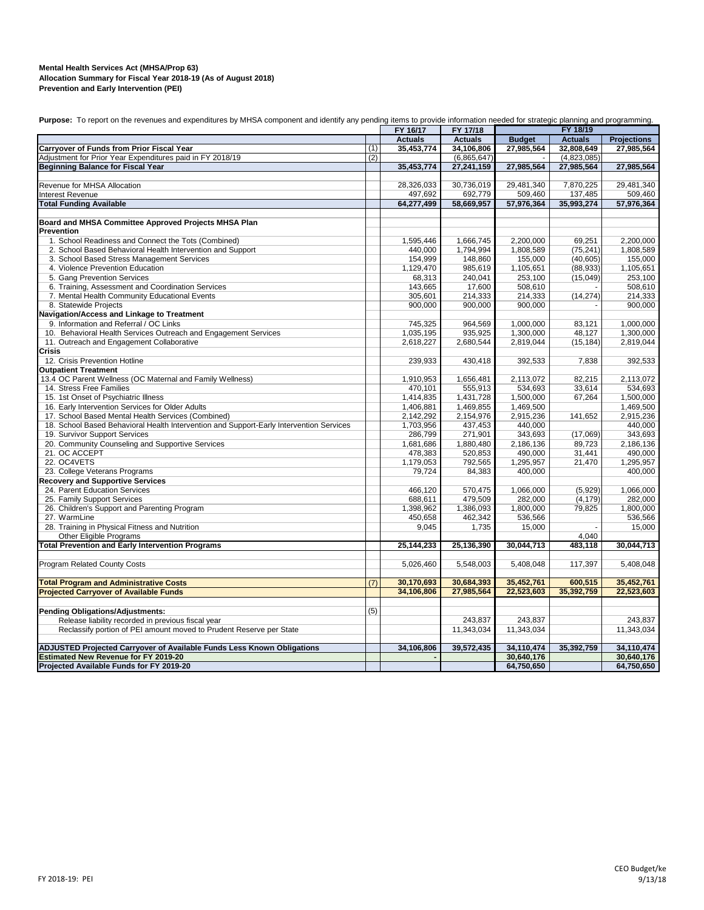#### **Mental Health Services Act (MHSA/Prop 63) Prevention and Early Intervention (PEI) Allocation Summary for Fiscal Year 2018-19 (As of August 2018)**

|                                                                                         |     | FY 16/17       | FY 17/18       | FY 18/19      |                |                    |
|-----------------------------------------------------------------------------------------|-----|----------------|----------------|---------------|----------------|--------------------|
|                                                                                         |     | <b>Actuals</b> | <b>Actuals</b> | <b>Budget</b> | <b>Actuals</b> | <b>Projections</b> |
| Carryover of Funds from Prior Fiscal Year                                               | (1) | 35,453,774     | 34,106,806     | 27,985,564    | 32,808,649     | 27,985,564         |
| Adjustment for Prior Year Expenditures paid in FY 2018/19                               | (2) |                | (6,865,647)    |               | (4,823,085)    |                    |
| <b>Beginning Balance for Fiscal Year</b>                                                |     | 35,453,774     | 27,241,159     | 27,985,564    | 27,985,564     | 27,985,564         |
|                                                                                         |     |                |                |               |                |                    |
| Revenue for MHSA Allocation                                                             |     | 28,326,033     | 30,736,019     | 29,481,340    | 7,870,225      | 29,481,340         |
| <b>Interest Revenue</b>                                                                 |     | 497,692        | 692,779        | 509,460       | 137,485        | 509,460            |
| <b>Total Funding Available</b>                                                          |     | 64,277,499     | 58,669,957     | 57,976,364    | 35,993,274     | 57,976,364         |
|                                                                                         |     |                |                |               |                |                    |
| Board and MHSA Committee Approved Projects MHSA Plan<br><b>Prevention</b>               |     |                |                |               |                |                    |
| 1. School Readiness and Connect the Tots (Combined)                                     |     | 1,595,446      | 1,666,745      | 2,200,000     | 69,251         | 2,200,000          |
| 2. School Based Behavioral Health Intervention and Support                              |     | 440,000        | 1,794,994      | 1,808,589     | (75, 241)      | 1,808,589          |
| 3. School Based Stress Management Services                                              |     | 154,999        | 148,860        | 155,000       | (40, 605)      | 155,000            |
| 4. Violence Prevention Education                                                        |     | 1,129,470      | 985,619        | 1,105,651     | (88, 933)      | 1,105,651          |
| 5. Gang Prevention Services                                                             |     | 68,313         | 240,041        | 253,100       | (15,049)       | 253.100            |
| 6. Training, Assessment and Coordination Services                                       |     | 143,665        | 17,600         | 508,610       |                | 508,610            |
| 7. Mental Health Community Educational Events                                           |     | 305,601        | 214,333        | 214,333       | (14, 274)      | 214,333            |
| 8. Statewide Projects                                                                   |     | 900,000        | 900,000        | 900,000       |                | 900,000            |
| Navigation/Access and Linkage to Treatment                                              |     |                |                |               |                |                    |
| 9. Information and Referral / OC Links                                                  |     | 745,325        | 964,569        | 1,000,000     | 83.121         | 1,000,000          |
| 10. Behavioral Health Services Outreach and Engagement Services                         |     | 1,035,195      | 935,925        | 1,300,000     | 48,127         | 1,300,000          |
| 11. Outreach and Engagement Collaborative                                               |     | 2,618,227      | 2,680,544      | 2,819,044     | (15, 184)      | 2,819,044          |
| Crisis                                                                                  |     |                |                |               |                |                    |
| 12. Crisis Prevention Hotline                                                           |     | 239,933        | 430,418        | 392,533       | 7,838          | 392,533            |
| <b>Outpatient Treatment</b>                                                             |     |                |                |               |                |                    |
| 13.4 OC Parent Wellness (OC Maternal and Family Wellness)                               |     | 1,910,953      | 1,656,481      | 2,113,072     | 82,215         | 2,113,072          |
| 14. Stress Free Families                                                                |     | 470,101        | 555,913        | 534,693       | 33,614         | 534,693            |
| 15. 1st Onset of Psychiatric Illness                                                    |     | 1,414,835      | 1,431,728      | 1,500,000     | 67,264         | 1,500,000          |
| 16. Early Intervention Services for Older Adults                                        |     | 1,406,881      | 1,469,855      | 1,469,500     |                | 1,469,500          |
| 17. School Based Mental Health Services (Combined)                                      |     | 2,142,292      | 2,154,976      | 2,915,236     | 141,652        | 2,915,236          |
| 18. School Based Behavioral Health Intervention and Support-Early Intervention Services |     | 1,703,956      | 437,453        | 440,000       |                | 440.000            |
| 19. Survivor Support Services                                                           |     | 286,799        | 271,901        | 343,693       | (17,069)       | 343,693            |
| 20. Community Counseling and Supportive Services                                        |     | 1,681,686      | 1,880,480      | 2,186,136     | 89.723         | 2,186,136          |
| 21. OC ACCEPT                                                                           |     | 478,383        | 520,853        | 490,000       | 31,441         | 490,000            |
| 22. OC4VETS                                                                             |     | 1,179,053      | 792,565        | 1,295,957     | 21,470         | 1,295,957          |
| 23. College Veterans Programs                                                           |     | 79,724         | 84,383         | 400,000       |                | 400,000            |
| <b>Recovery and Supportive Services</b>                                                 |     |                |                |               |                |                    |
| 24. Parent Education Services                                                           |     | 466,120        | 570,475        | 1,066,000     | (5,929)        | 1,066,000          |
| 25. Family Support Services                                                             |     | 688,611        | 479,509        | 282,000       | (4, 179)       | 282,000            |
| 26. Children's Support and Parenting Program                                            |     | 1,398,962      | 1,386,093      | 1,800,000     | 79,825         | 1,800,000          |
| 27. WarmLine                                                                            |     | 450,658        | 462,342        | 536,566       |                | 536,566            |
| 28. Training in Physical Fitness and Nutrition                                          |     | 9,045          | 1,735          | 15,000        |                | 15,000             |
| <b>Other Eligible Programs</b>                                                          |     |                |                |               | 4,040          |                    |
| <b>Total Prevention and Early Intervention Programs</b>                                 |     | 25,144,233     | 25,136,390     | 30,044,713    | 483,118        | 30,044,713         |
|                                                                                         |     |                |                |               |                |                    |
| Program Related County Costs                                                            |     | 5,026,460      | 5,548,003      | 5,408,048     | 117,397        | 5,408,048          |
|                                                                                         |     |                |                |               |                |                    |
| <b>Total Program and Administrative Costs</b>                                           | (7) | 30,170,693     | 30,684,393     | 35,452,761    | 600.515        | 35,452,761         |
| <b>Projected Carryover of Available Funds</b>                                           |     | 34,106,806     | 27,985,564     | 22,523,603    | 35,392,759     | 22,523,603         |
|                                                                                         |     |                |                |               |                |                    |
| <b>Pending Obligations/Adjustments:</b>                                                 | (5) |                |                |               |                |                    |
| Release liability recorded in previous fiscal year                                      |     |                | 243,837        | 243,837       |                | 243,837            |
| Reclassify portion of PEI amount moved to Prudent Reserve per State                     |     |                | 11,343,034     | 11,343,034    |                | 11,343,034         |
|                                                                                         |     |                |                |               |                |                    |
| ADJUSTED Projected Carryover of Available Funds Less Known Obligations                  |     | 34,106,806     | 39,572,435     | 34,110,474    | 35,392,759     | 34,110,474         |
| <b>Estimated New Revenue for FY 2019-20</b>                                             |     |                |                | 30,640,176    |                | 30,640,176         |
| Projected Available Funds for FY 2019-20                                                |     |                |                | 64,750,650    |                | 64,750,650         |

Purpose: To report on the revenues and expenditures by MHSA component and identify any pending items to provide information needed for strategic planning and programming.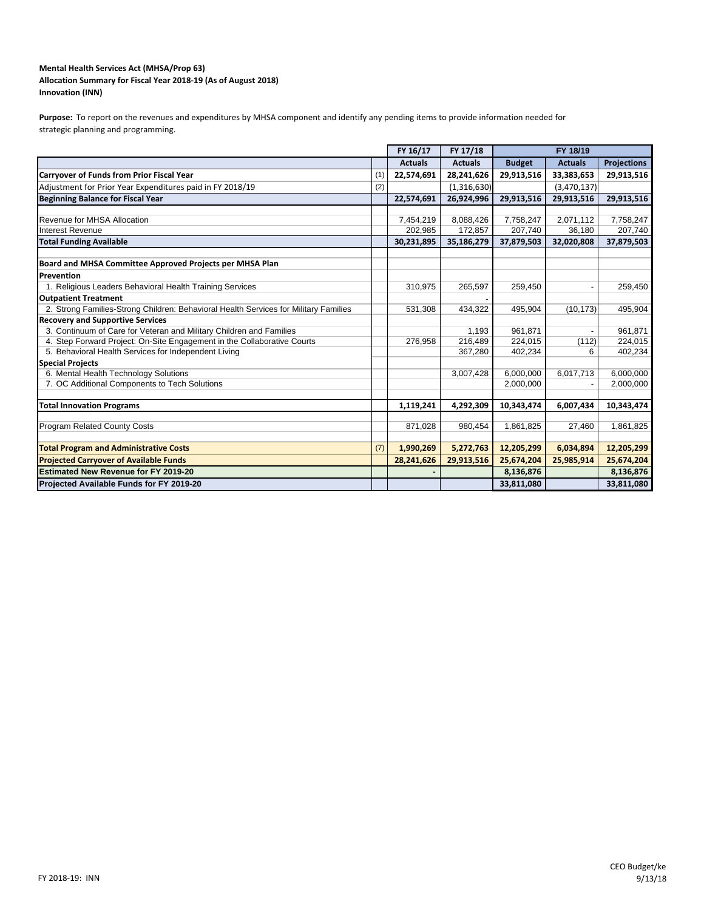### **Mental Health Services Act (MHSA/Prop 63) Innovation (INN) Allocation Summary for Fiscal Year 2018‐19 (As of August 2018)**

Purpose: To report on the revenues and expenditures by MHSA component and identify any pending items to provide information needed for strategic planning and programming.

|                                                                                      |     | FY 16/17       | FY 17/18       |               | FY 18/19       |                    |
|--------------------------------------------------------------------------------------|-----|----------------|----------------|---------------|----------------|--------------------|
|                                                                                      |     | <b>Actuals</b> | <b>Actuals</b> | <b>Budget</b> | <b>Actuals</b> | <b>Projections</b> |
| <b>Carryover of Funds from Prior Fiscal Year</b>                                     | (1) | 22,574,691     | 28,241,626     | 29,913,516    | 33,383,653     | 29,913,516         |
| Adjustment for Prior Year Expenditures paid in FY 2018/19                            | (2) |                | (1,316,630)    |               | (3,470,137)    |                    |
| <b>Beginning Balance for Fiscal Year</b>                                             |     | 22,574,691     | 26,924,996     | 29,913,516    | 29,913,516     | 29,913,516         |
|                                                                                      |     |                |                |               |                |                    |
| Revenue for MHSA Allocation                                                          |     | 7,454,219      | 8,088,426      | 7,758,247     | 2,071,112      | 7,758,247          |
| <b>Interest Revenue</b>                                                              |     | 202.985        | 172,857        | 207,740       | 36,180         | 207,740            |
| <b>Total Funding Available</b>                                                       |     | 30,231,895     | 35,186,279     | 37,879,503    | 32,020,808     | 37,879,503         |
| Board and MHSA Committee Approved Projects per MHSA Plan                             |     |                |                |               |                |                    |
| Prevention                                                                           |     |                |                |               |                |                    |
| 1. Religious Leaders Behavioral Health Training Services                             |     | 310,975        | 265,597        | 259,450       |                | 259,450            |
| <b>Outpatient Treatment</b>                                                          |     |                |                |               |                |                    |
| 2. Strong Families-Strong Children: Behavioral Health Services for Military Families |     | 531,308        | 434.322        | 495,904       | (10, 173)      | 495,904            |
| <b>Recovery and Supportive Services</b>                                              |     |                |                |               |                |                    |
| 3. Continuum of Care for Veteran and Military Children and Families                  |     |                | 1,193          | 961,871       |                | 961,871            |
| 4. Step Forward Project: On-Site Engagement in the Collaborative Courts              |     | 276,958        | 216,489        | 224,015       | (112)          | 224,015            |
| 5. Behavioral Health Services for Independent Living                                 |     |                | 367,280        | 402,234       | 6              | 402,234            |
| <b>Special Projects</b>                                                              |     |                |                |               |                |                    |
| 6. Mental Health Technology Solutions                                                |     |                | 3,007,428      | 6,000,000     | 6,017,713      | 6,000,000          |
| 7. OC Additional Components to Tech Solutions                                        |     |                |                | 2,000,000     |                | 2,000,000          |
|                                                                                      |     |                |                |               |                |                    |
| <b>Total Innovation Programs</b>                                                     |     | 1,119,241      | 4,292,309      | 10,343,474    | 6,007,434      | 10,343,474         |
|                                                                                      |     |                |                |               |                |                    |
| <b>Program Related County Costs</b>                                                  |     | 871,028        | 980,454        | 1,861,825     | 27,460         | 1,861,825          |
| <b>Total Program and Administrative Costs</b>                                        | (7) | 1,990,269      | 5,272,763      | 12,205,299    | 6,034,894      | 12,205,299         |
| <b>Projected Carryover of Available Funds</b>                                        |     | 28,241,626     | 29,913,516     | 25,674,204    | 25,985,914     | 25,674,204         |
| <b>Estimated New Revenue for FY 2019-20</b>                                          |     |                |                | 8,136,876     |                | 8,136,876          |
| Projected Available Funds for FY 2019-20                                             |     |                |                | 33,811,080    |                | 33,811,080         |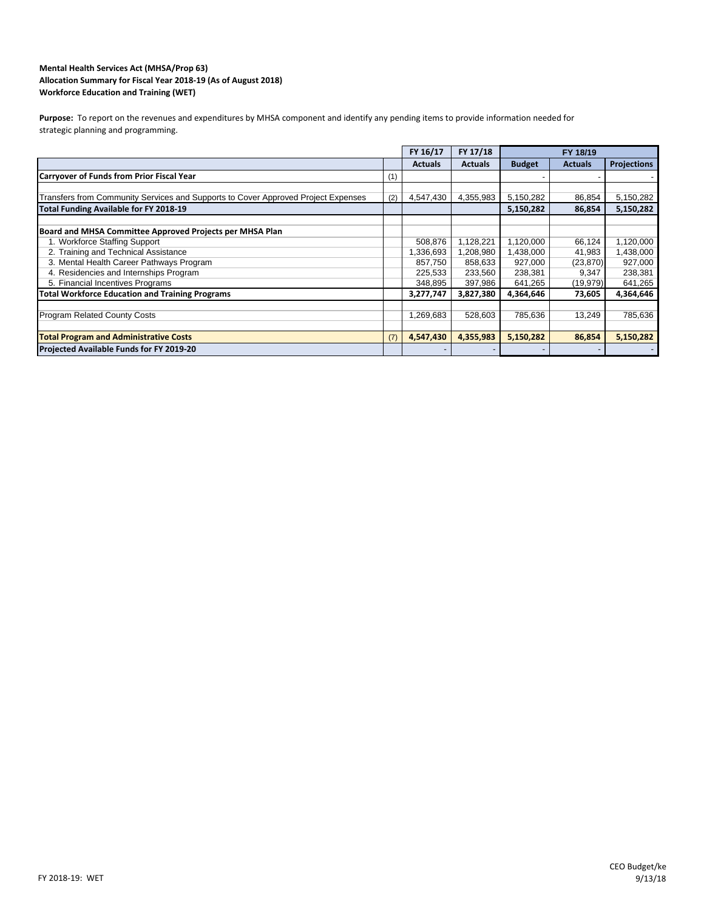## **Workforce Education and Training (WET) Mental Health Services Act (MHSA/Prop 63) Allocation Summary for Fiscal Year 2018‐19 (As of August 2018)**

Purpose: To report on the revenues and expenditures by MHSA component and identify any pending items to provide information needed for strategic planning and programming.

|                                                                                   |     | FY 16/17       | FY 17/18       |               | FY 18/19       |                          |
|-----------------------------------------------------------------------------------|-----|----------------|----------------|---------------|----------------|--------------------------|
|                                                                                   |     | <b>Actuals</b> | <b>Actuals</b> | <b>Budget</b> | <b>Actuals</b> | <b>Projections</b>       |
| Carryover of Funds from Prior Fiscal Year                                         | (1) |                |                |               |                |                          |
|                                                                                   |     |                |                |               |                |                          |
| Transfers from Community Services and Supports to Cover Approved Project Expenses | (2) | 4,547,430      | 4,355,983      | 5,150,282     | 86,854         | 5,150,282                |
| Total Funding Available for FY 2018-19                                            |     |                |                | 5,150,282     | 86,854         | 5,150,282                |
|                                                                                   |     |                |                |               |                |                          |
| Board and MHSA Committee Approved Projects per MHSA Plan                          |     |                |                |               |                |                          |
| 1. Workforce Staffing Support                                                     |     | 508,876        | 1,128,221      | 1,120,000     | 66,124         | 1,120,000                |
| 2. Training and Technical Assistance                                              |     | 1,336,693      | 1,208,980      | 1,438,000     | 41,983         | 1,438,000                |
| 3. Mental Health Career Pathways Program                                          |     | 857,750        | 858,633        | 927,000       | (23, 870)      | 927,000                  |
| 4. Residencies and Internships Program                                            |     | 225,533        | 233,560        | 238,381       | 9,347          | 238,381                  |
| 5. Financial Incentives Programs                                                  |     | 348,895        | 397,986        | 641,265       | (19, 979)      | 641,265                  |
| <b>Total Workforce Education and Training Programs</b>                            |     | 3,277,747      | 3,827,380      | 4,364,646     | 73,605         | 4,364,646                |
|                                                                                   |     |                |                |               |                |                          |
| <b>Program Related County Costs</b>                                               |     | 1,269,683      | 528,603        | 785,636       | 13,249         | 785,636                  |
|                                                                                   |     |                |                |               |                |                          |
| <b>Total Program and Administrative Costs</b>                                     | (7) | 4,547,430      | 4,355,983      | 5,150,282     | 86,854         | 5,150,282                |
| Projected Available Funds for FY 2019-20                                          |     |                |                |               |                | $\overline{\phantom{a}}$ |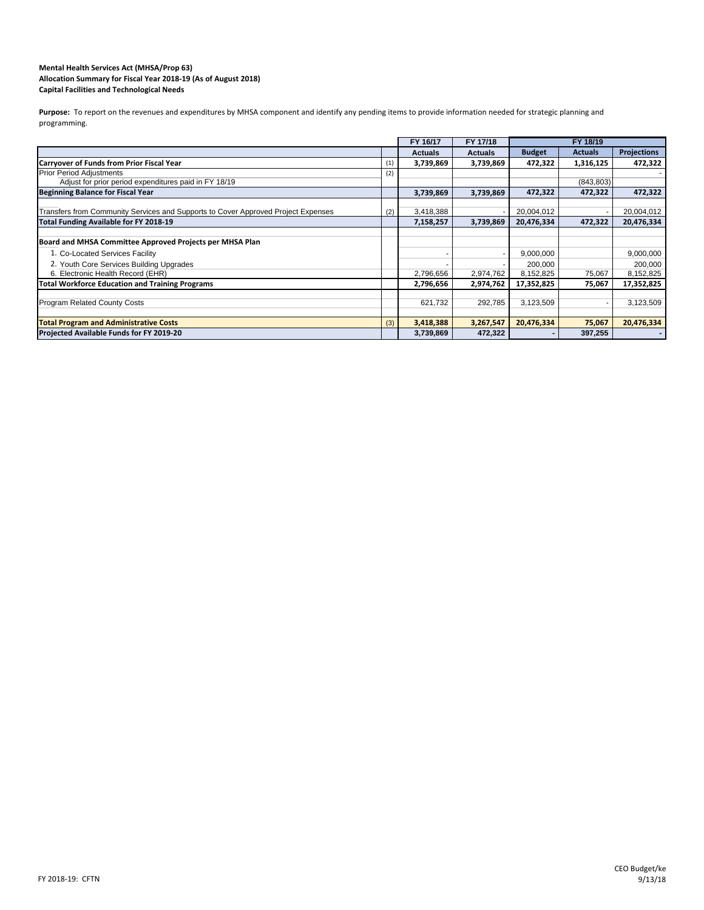#### **Mental Health Services Act (MHSA/Prop 63) Allocation Summary for Fiscal Year 2018‐19 (As of August 2018) Capital Facilities and Technological Needs**

Purpose: To report on the revenues and expenditures by MHSA component and identify any pending items to provide information needed for strategic planning and programming.

|                                                                                   |     | FY 16/17       | FY 17/18       |               | FY 18/19       |                    |
|-----------------------------------------------------------------------------------|-----|----------------|----------------|---------------|----------------|--------------------|
|                                                                                   |     | <b>Actuals</b> | <b>Actuals</b> | <b>Budget</b> | <b>Actuals</b> | <b>Projections</b> |
| Carryover of Funds from Prior Fiscal Year                                         | (1) | 3,739,869      | 3,739,869      | 472,322       | 1,316,125      | 472,322            |
| <b>Prior Period Adjustments</b>                                                   | (2) |                |                |               |                |                    |
| Adjust for prior period expenditures paid in FY 18/19                             |     |                |                |               | (843, 803)     |                    |
| <b>Beginning Balance for Fiscal Year</b>                                          |     | 3,739,869      | 3,739,869      | 472,322       | 472,322        | 472,322            |
|                                                                                   |     |                |                |               |                |                    |
| Transfers from Community Services and Supports to Cover Approved Project Expenses | (2) | 3,418,388      |                | 20,004,012    |                | 20,004,012         |
| Total Funding Available for FY 2018-19                                            |     | 7,158,257      | 3,739,869      | 20,476,334    | 472,322        | 20,476,334         |
|                                                                                   |     |                |                |               |                |                    |
| Board and MHSA Committee Approved Projects per MHSA Plan                          |     |                |                |               |                |                    |
| 1. Co-Located Services Facility                                                   |     |                |                | 9,000,000     |                | 9,000,000          |
| 2. Youth Core Services Building Upgrades                                          |     |                |                | 200,000       |                | 200,000            |
| 6. Electronic Health Record (EHR)                                                 |     | 2,796,656      | 2,974,762      | 8,152,825     | 75,067         | 8,152,825          |
| <b>Total Workforce Education and Training Programs</b>                            |     | 2,796,656      | 2,974,762      | 17,352,825    | 75,067         | 17,352,825         |
|                                                                                   |     |                |                |               |                |                    |
| <b>Program Related County Costs</b>                                               |     | 621,732        | 292,785        | 3,123,509     |                | 3,123,509          |
|                                                                                   |     |                |                |               |                |                    |
| <b>Total Program and Administrative Costs</b>                                     | (3) | 3,418,388      | 3,267,547      | 20,476,334    | 75,067         | 20,476,334         |
| Projected Available Funds for FY 2019-20                                          |     | 3,739,869      | 472,322        |               | 397,255        | $\blacksquare$     |